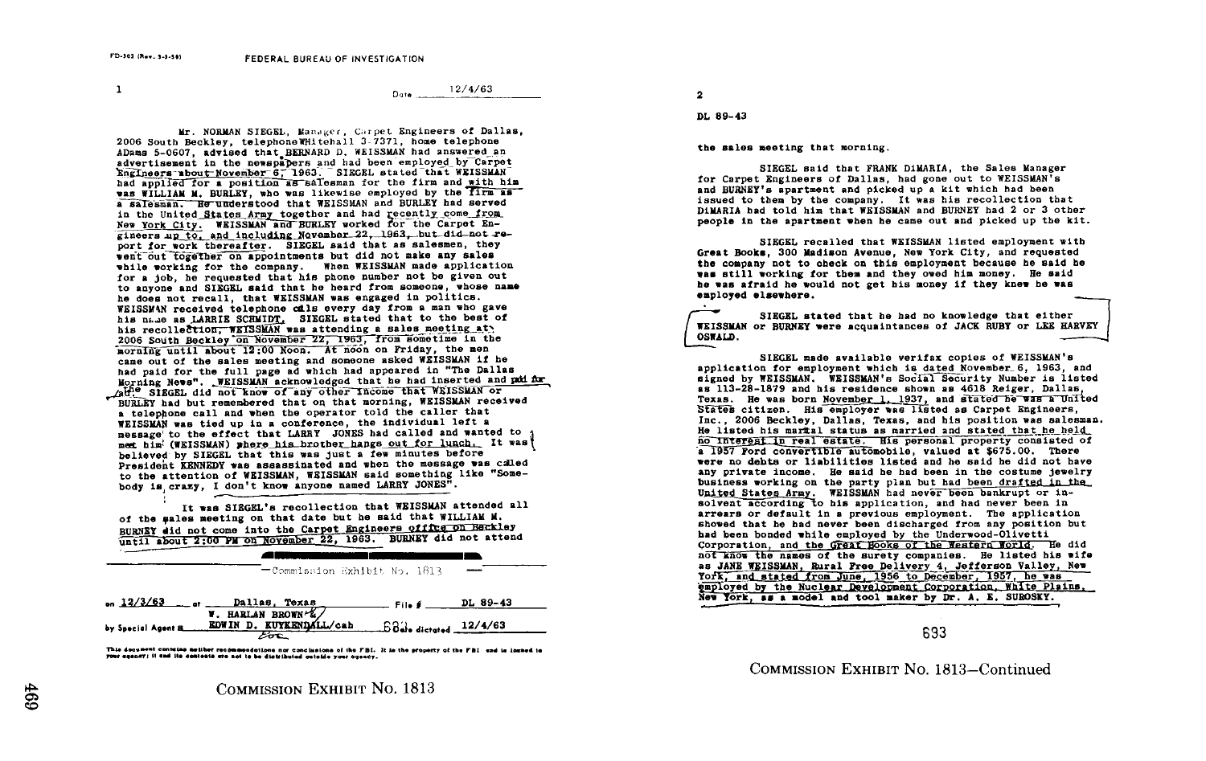$\mathbf{1}$ 

 $12/4/63$ Dota

Mr. NORMAN SIEGEL, Manager, Carpet Engineers of Dallas. 2006 South Beckley, telephone WHitehall 3-7371, home telephone ADams 5-0607, advised that BERNARD D. WEISSMAN had answered an advertisement in the newspapers and had been employed by Carpet Engineers about November 6, 1963. SIEGEL stated that WEISSMAN had applied for a position as salesman for the firm and with him was WILLIAM M. BURLEY, who was likewise employed by the firm as a salesman. He understood that WEISSMAN and BURLEY had served in the United States Army together and had recently come from New York City. WEISSMAN and BURLEY worked for the Carpet Engineers up to, and including November 22, 1963, but did not report for work thereafter. SIEGEL said that as salesmen, they went out together on appointments but did not make any sales while working for the company. When WEISSMAN made application for a job, he requested that his phone number not be given out to anyone and SIEGEL said that he heard from someone, whose name he does not recall, that WEISSMAN was engaged in politics. WEISSMAN received telephone cals every day from a man who gave his name as LARRIE SCHMIDT. SIEGEL stated that to the best of his recollection. WEISSMAN was attending a sales meeting at 2006 South Beckley on November 22, 1963, from sometime in the morning until about 12:00 Noon. At noon on Friday, the men came out of the sales meeting and someone asked WEISSMAN if he had paid for the full page ad which had appeared in "The Dallas Morning News". WEISSMAN acknowledged that he had inserted and put for Athe SIEGEL did not know of any other income that WEISSMAN or BURLEY had but remembered that on that morning, WEISSMAN received a telephone call and when the operator told the caller that WEISSMAN was tied up in a conference, the individual left a message to the effect that LARRY JONES had called and wanted to meet him<sup>!</sup> (WEISSMAN) where his brother hangs out for lunch. It was believed by SIEGEL that this was just a few minutes before President KENNEDY was assassinated and when the message was called to the attention of WEISSMAN, WEISSMAN said something like "Somebody is crazy, I don't know anyone named LARRY JONES".

It was SIEGEL's recollection that WEISSMAN attended all of the sales meeting on that date but he said that WILLIAM M. BURNEY did not come into the Carpet Engineers office on Beckley until about 2:00 PM on November 22, 1963. BURNEY did not attend

| on $12/3/63$ or $-$ | Dallas, Texas                | File # | DL 89-43 |
|---------------------|------------------------------|--------|----------|
|                     | -Commission Exhibit No. 1813 |        |          |
|                     |                              |        |          |

|                     | W. HARLAN BROWN &/      |                                            |
|---------------------|-------------------------|--------------------------------------------|
| by Special Agent B. | EDWIN D. KUYKENDALL/cab | $\frac{ab}{c}$ $6d$ $a$ dictated $12/4/63$ |
|                     |                         |                                            |

This doesnest contains notther recommendations nor conclusions of the FBI. It is the property of the FBI and is logned to your agency; it and ite contents are not to be distributed outside your agency.

 $\overline{\mathbf{2}}$ 

DL 89-43

the sales meeting that morning.

SIEGEL said that FRANK DiMARIA, the Sales Manager for Carpet Engineers of Dallas, had gone out to WEISSMAN's and BURNEY's apartment and picked up a kit which had been issued to them by the company. It was his recollection that DiMARIA had told him that WEISSMAN and BURNEY had 2 or 3 other people in the apartment when he came out and picked up the kit.

SIEGEL recalled that WEISSMAN listed employment with Great Books, 300 Madison Avenue, New York City, and requested the company not to check on this employment because he said he was still working for them and they owed him money. He said he was afraid he would not get his money if they knew he was emploved elsewhere.

÷. SIEGEL stated that he had no knowledge that either WEISSMAN or BURNEY were acquaintances of JACK RUBY or LEE HARVEY OSWALD.

SIEGEL made available verifax copies of WEISSMAN's application for employment which is dated November 6. 1963, and signed by WEISSMAN. WEISSMAN's Social Security Number is listed as 113-28-1879 and his residence shown as 4618 Reiger, Dallas. Texas. He was born November 1, 1937, and stated he was a United States citizen. His employer was listed as Carpet Engineers. Inc., 2006 Beckley, Dallas, Texas, and his position was salesman. He listed his markal status as married and stated that he held no Interest in real estate. His personal property consisted of a 1957 Ford convertible automobile, valued at \$675.00. There were no debts or liabilities listed and he said he did not have any private income. He said he had been in the costume jewelry business working on the party plan but had been drafted in the. United States Army. WEISSMAN had never been bankrupt or insolvent according to his application, and had never been in arrears or default in a previous employment. The application showed that he had never been discharged from any position but had been bonded while employed by the Underwood-Olivetti Corporation, and the Great Books of the Western World. He did not know the names of the surety companies. He listed his wife as JANE WEISSMAN, Rural Free Delivery 4, Jefferson Valley, New York, and stated from June, 1956 to December, 1957, he was employed by the Nuclear Development Corporation, White Plains, New York, as a model and tool maker by Dr. A. E. SUROSKY.

633

COMMISSION EXHIBIT No. 1813-Continued